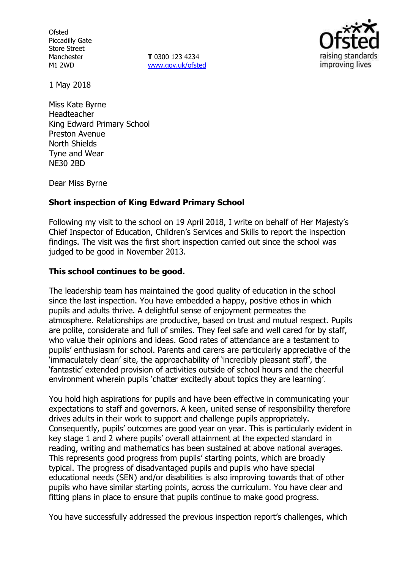**Ofsted** Piccadilly Gate Store Street Manchester M1 2WD

**T** 0300 123 4234 www.gov.uk/ofsted



1 May 2018

Miss Kate Byrne Headteacher King Edward Primary School Preston Avenue North Shields Tyne and Wear NE30 2BD

Dear Miss Byrne

## **Short inspection of King Edward Primary School**

Following my visit to the school on 19 April 2018, I write on behalf of Her Majesty's Chief Inspector of Education, Children's Services and Skills to report the inspection findings. The visit was the first short inspection carried out since the school was judged to be good in November 2013.

### **This school continues to be good.**

The leadership team has maintained the good quality of education in the school since the last inspection. You have embedded a happy, positive ethos in which pupils and adults thrive. A delightful sense of enjoyment permeates the atmosphere. Relationships are productive, based on trust and mutual respect. Pupils are polite, considerate and full of smiles. They feel safe and well cared for by staff, who value their opinions and ideas. Good rates of attendance are a testament to pupils' enthusiasm for school. Parents and carers are particularly appreciative of the 'immaculately clean' site, the approachability of 'incredibly pleasant staff', the 'fantastic' extended provision of activities outside of school hours and the cheerful environment wherein pupils 'chatter excitedly about topics they are learning'.

You hold high aspirations for pupils and have been effective in communicating your expectations to staff and governors. A keen, united sense of responsibility therefore drives adults in their work to support and challenge pupils appropriately. Consequently, pupils' outcomes are good year on year. This is particularly evident in key stage 1 and 2 where pupils' overall attainment at the expected standard in reading, writing and mathematics has been sustained at above national averages. This represents good progress from pupils' starting points, which are broadly typical. The progress of disadvantaged pupils and pupils who have special educational needs (SEN) and/or disabilities is also improving towards that of other pupils who have similar starting points, across the curriculum. You have clear and fitting plans in place to ensure that pupils continue to make good progress.

You have successfully addressed the previous inspection report's challenges, which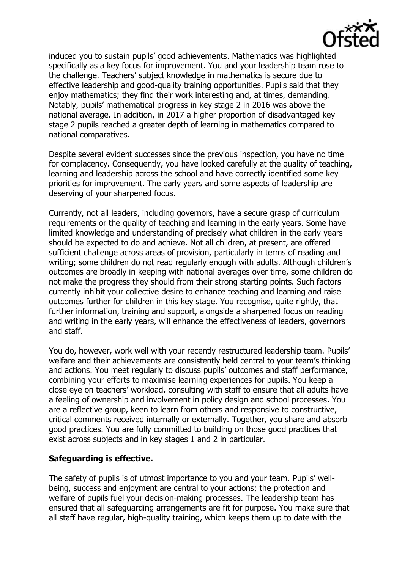

induced you to sustain pupils' good achievements. Mathematics was highlighted specifically as a key focus for improvement. You and your leadership team rose to the challenge. Teachers' subject knowledge in mathematics is secure due to effective leadership and good-quality training opportunities. Pupils said that they enjoy mathematics; they find their work interesting and, at times, demanding. Notably, pupils' mathematical progress in key stage 2 in 2016 was above the national average. In addition, in 2017 a higher proportion of disadvantaged key stage 2 pupils reached a greater depth of learning in mathematics compared to national comparatives.

Despite several evident successes since the previous inspection, you have no time for complacency. Consequently, you have looked carefully at the quality of teaching, learning and leadership across the school and have correctly identified some key priorities for improvement. The early years and some aspects of leadership are deserving of your sharpened focus.

Currently, not all leaders, including governors, have a secure grasp of curriculum requirements or the quality of teaching and learning in the early years. Some have limited knowledge and understanding of precisely what children in the early years should be expected to do and achieve. Not all children, at present, are offered sufficient challenge across areas of provision, particularly in terms of reading and writing; some children do not read regularly enough with adults. Although children's outcomes are broadly in keeping with national averages over time, some children do not make the progress they should from their strong starting points. Such factors currently inhibit your collective desire to enhance teaching and learning and raise outcomes further for children in this key stage. You recognise, quite rightly, that further information, training and support, alongside a sharpened focus on reading and writing in the early years, will enhance the effectiveness of leaders, governors and staff.

You do, however, work well with your recently restructured leadership team. Pupils' welfare and their achievements are consistently held central to your team's thinking and actions. You meet regularly to discuss pupils' outcomes and staff performance, combining your efforts to maximise learning experiences for pupils. You keep a close eye on teachers' workload, consulting with staff to ensure that all adults have a feeling of ownership and involvement in policy design and school processes. You are a reflective group, keen to learn from others and responsive to constructive, critical comments received internally or externally. Together, you share and absorb good practices. You are fully committed to building on those good practices that exist across subjects and in key stages 1 and 2 in particular.

## **Safeguarding is effective.**

The safety of pupils is of utmost importance to you and your team. Pupils' wellbeing, success and enjoyment are central to your actions; the protection and welfare of pupils fuel your decision-making processes. The leadership team has ensured that all safeguarding arrangements are fit for purpose. You make sure that all staff have regular, high-quality training, which keeps them up to date with the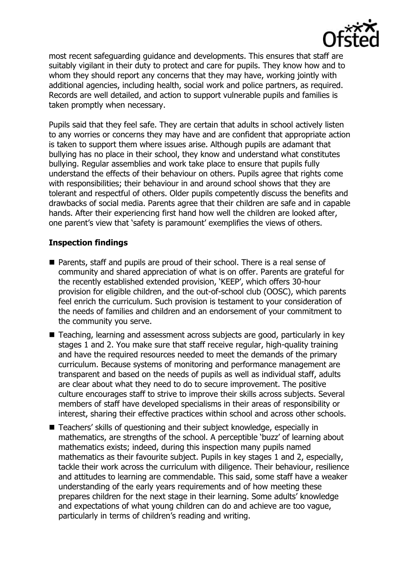

most recent safeguarding guidance and developments. This ensures that staff are suitably vigilant in their duty to protect and care for pupils. They know how and to whom they should report any concerns that they may have, working jointly with additional agencies, including health, social work and police partners, as required. Records are well detailed, and action to support vulnerable pupils and families is taken promptly when necessary.

Pupils said that they feel safe. They are certain that adults in school actively listen to any worries or concerns they may have and are confident that appropriate action is taken to support them where issues arise. Although pupils are adamant that bullying has no place in their school, they know and understand what constitutes bullying. Regular assemblies and work take place to ensure that pupils fully understand the effects of their behaviour on others. Pupils agree that rights come with responsibilities; their behaviour in and around school shows that they are tolerant and respectful of others. Older pupils competently discuss the benefits and drawbacks of social media. Parents agree that their children are safe and in capable hands. After their experiencing first hand how well the children are looked after, one parent's view that 'safety is paramount' exemplifies the views of others.

## **Inspection findings**

- **Parents, staff and pupils are proud of their school. There is a real sense of** community and shared appreciation of what is on offer. Parents are grateful for the recently established extended provision, 'KEEP', which offers 30-hour provision for eligible children, and the out-of-school club (OOSC), which parents feel enrich the curriculum. Such provision is testament to your consideration of the needs of families and children and an endorsement of your commitment to the community you serve.
- Teaching, learning and assessment across subjects are good, particularly in key stages 1 and 2. You make sure that staff receive regular, high-quality training and have the required resources needed to meet the demands of the primary curriculum. Because systems of monitoring and performance management are transparent and based on the needs of pupils as well as individual staff, adults are clear about what they need to do to secure improvement. The positive culture encourages staff to strive to improve their skills across subjects. Several members of staff have developed specialisms in their areas of responsibility or interest, sharing their effective practices within school and across other schools.
- Teachers' skills of questioning and their subject knowledge, especially in mathematics, are strengths of the school. A perceptible 'buzz' of learning about mathematics exists; indeed, during this inspection many pupils named mathematics as their favourite subject. Pupils in key stages 1 and 2, especially, tackle their work across the curriculum with diligence. Their behaviour, resilience and attitudes to learning are commendable. This said, some staff have a weaker understanding of the early years requirements and of how meeting these prepares children for the next stage in their learning. Some adults' knowledge and expectations of what young children can do and achieve are too vague, particularly in terms of children's reading and writing.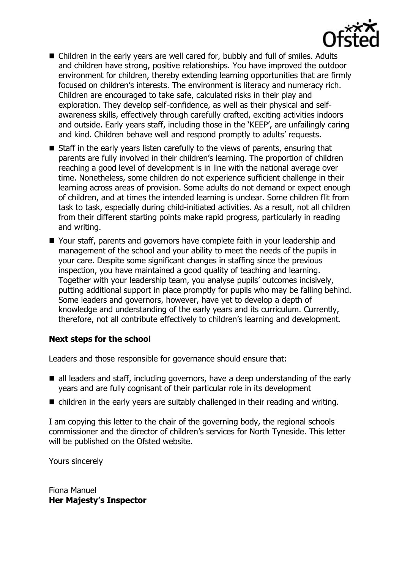

- Children in the early years are well cared for, bubbly and full of smiles. Adults and children have strong, positive relationships. You have improved the outdoor environment for children, thereby extending learning opportunities that are firmly focused on children's interests. The environment is literacy and numeracy rich. Children are encouraged to take safe, calculated risks in their play and exploration. They develop self-confidence, as well as their physical and selfawareness skills, effectively through carefully crafted, exciting activities indoors and outside. Early years staff, including those in the 'KEEP', are unfailingly caring and kind. Children behave well and respond promptly to adults' requests.
- $\blacksquare$  Staff in the early years listen carefully to the views of parents, ensuring that parents are fully involved in their children's learning. The proportion of children reaching a good level of development is in line with the national average over time. Nonetheless, some children do not experience sufficient challenge in their learning across areas of provision. Some adults do not demand or expect enough of children, and at times the intended learning is unclear. Some children flit from task to task, especially during child-initiated activities. As a result, not all children from their different starting points make rapid progress, particularly in reading and writing.
- Your staff, parents and governors have complete faith in your leadership and management of the school and your ability to meet the needs of the pupils in your care. Despite some significant changes in staffing since the previous inspection, you have maintained a good quality of teaching and learning. Together with your leadership team, you analyse pupils' outcomes incisively, putting additional support in place promptly for pupils who may be falling behind. Some leaders and governors, however, have yet to develop a depth of knowledge and understanding of the early years and its curriculum. Currently, therefore, not all contribute effectively to children's learning and development.

# **Next steps for the school**

Leaders and those responsible for governance should ensure that:

- all leaders and staff, including governors, have a deep understanding of the early years and are fully cognisant of their particular role in its development
- children in the early years are suitably challenged in their reading and writing.

I am copying this letter to the chair of the governing body, the regional schools commissioner and the director of children's services for North Tyneside. This letter will be published on the Ofsted website.

Yours sincerely

Fiona Manuel **Her Majesty's Inspector**